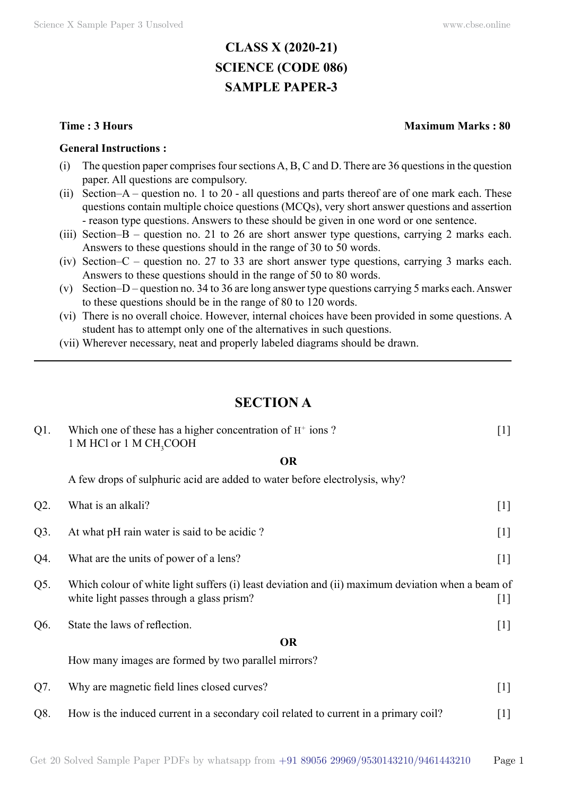# **CLASS X (2020-21) SCIENCE (CODE 086) SAMPLE PAPER-3**

#### **General Instructions :**

- (i) The question paper comprises four sections A, B, C and D. There are 36 questions in the question paper. All questions are compulsory.
- (ii) Section–A question no. 1 to 20 all questions and parts thereof are of one mark each. These questions contain multiple choice questions (MCQs), very short answer questions and assertion - reason type questions. Answers to these should be given in one word or one sentence.
- (iii) Section–B question no. 21 to 26 are short answer type questions, carrying 2 marks each. Answers to these questions should in the range of 30 to 50 words.
- (iv) Section–C question no. 27 to 33 are short answer type questions, carrying 3 marks each. Answers to these questions should in the range of 50 to 80 words.
- (v) Section–D question no. 34 to 36 are long answer type questions carrying 5 marks each. Answer to these questions should be in the range of 80 to 120 words.
- (vi) There is no overall choice. However, internal choices have been provided in some questions. A student has to attempt only one of the alternatives in such questions.
- (vii) Wherever necessary, neat and properly labeled diagrams should be drawn.

## **Section A**

| $Q1$ . | Which one of these has a higher concentration of $H^+$ ions?<br>1 M HCl or 1 M CH <sub>3</sub> COOH                                                     | $[1]$ |  |
|--------|---------------------------------------------------------------------------------------------------------------------------------------------------------|-------|--|
|        | <b>OR</b>                                                                                                                                               |       |  |
|        | A few drops of sulphuric acid are added to water before electrolysis, why?                                                                              |       |  |
| $Q2$ . | What is an alkali?                                                                                                                                      | $[1]$ |  |
| $Q3$ . | At what pH rain water is said to be acidic?                                                                                                             |       |  |
| Q4.    | What are the units of power of a lens?                                                                                                                  | $[1]$ |  |
| Q5.    | Which colour of white light suffers (i) least deviation and (ii) maximum deviation when a beam of<br>white light passes through a glass prism?<br>$[1]$ |       |  |
| Q6.    | State the laws of reflection.                                                                                                                           | $[1]$ |  |
|        | <b>OR</b>                                                                                                                                               |       |  |
|        | How many images are formed by two parallel mirrors?                                                                                                     |       |  |
| Q7.    | Why are magnetic field lines closed curves?                                                                                                             | $[1]$ |  |
| Q8.    | How is the induced current in a secondary coil related to current in a primary coil?                                                                    | $[1]$ |  |

## **Time : 3 Hours Maximum Marks : 80**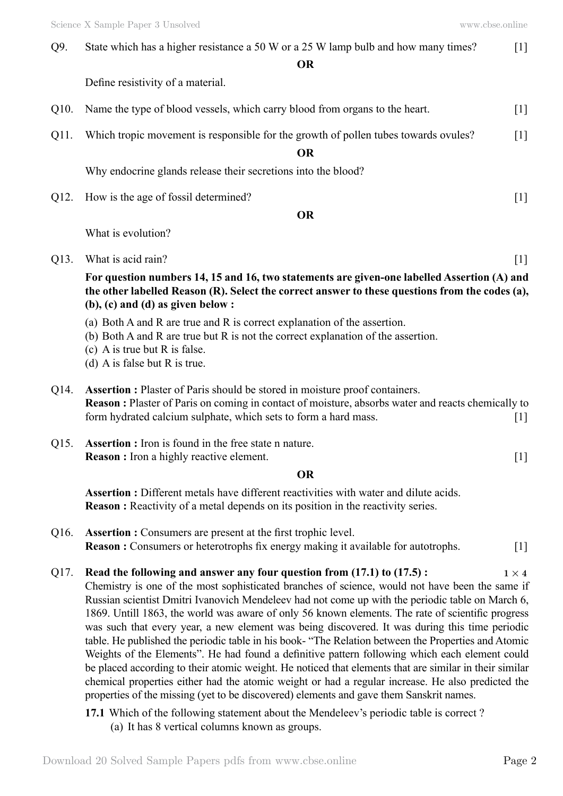Q9. State which has a higher resistance a 50 W or a 25 W lamp bulb and how many times? [1]

 **O**

Define resistivity of a material.

- Q10. Name the type of blood vessels, which carry blood from organs to the heart. [1]
- Q11. Which tropic movement is responsible for the growth of pollen tubes towards ovules? [1]

 **O**

Why endocrine glands release their secretions into the blood?

Q12. How is the age of fossil determined? [1]

#### **O**

What is evolution?

Q13. What is acid rain? [1]

**For question numbers 14, 15 and 16, two statements are given-one labelled Assertion (A) and the other labelled Reason (R). Select the correct answer to these questions from the codes (a), (b), (c) and (d) as given below :**

- (a) Both A and R are true and R is correct explanation of the assertion.
- (b) Both A and R are true but R is not the correct explanation of the assertion.
- (c) A is true but R is false.
- (d) A is false but R is true.
- Q14. **Assertion :** Plaster of Paris should be stored in moisture proof containers. **Reason :** Plaster of Paris on coming in contact of moisture, absorbs water and reacts chemically to form hydrated calcium sulphate, which sets to form a hard mass. [1]
- Q15. **Assertion :** Iron is found in the free state n nature. **Reason :** Iron a highly reactive element. [1]

### **O**

**Assertion :** Different metals have different reactivities with water and dilute acids. **Reason :** Reactivity of a metal depends on its position in the reactivity series.

- Q16. **Assertion :** Consumers are present at the first trophic level. **Reason :** Consumers or heterotrophs fix energy making it available for autotrophs. [1]
- Q17. **Read the following and answer any four question from (17.1) to (17.5) :**  $1 \times 4$ Chemistry is one of the most sophisticated branches of science, would not have been the same if Russian scientist Dmitri Ivanovich Mendeleev had not come up with the periodic table on March 6, 1869. Untill 1863, the world was aware of only 56 known elements. The rate of scientific progress was such that every year, a new element was being discovered. It was during this time periodic table. He published the periodic table in his book- "The Relation between the Properties and Atomic Weights of the Elements". He had found a definitive pattern following which each element could be placed according to their atomic weight. He noticed that elements that are similar in their similar chemical properties either had the atomic weight or had a regular increase. He also predicted the properties of the missing (yet to be discovered) elements and gave them Sanskrit names.
	- **17.1** Which of the following statement about the Mendeleev's periodic table is correct ? (a) It has 8 vertical columns known as groups.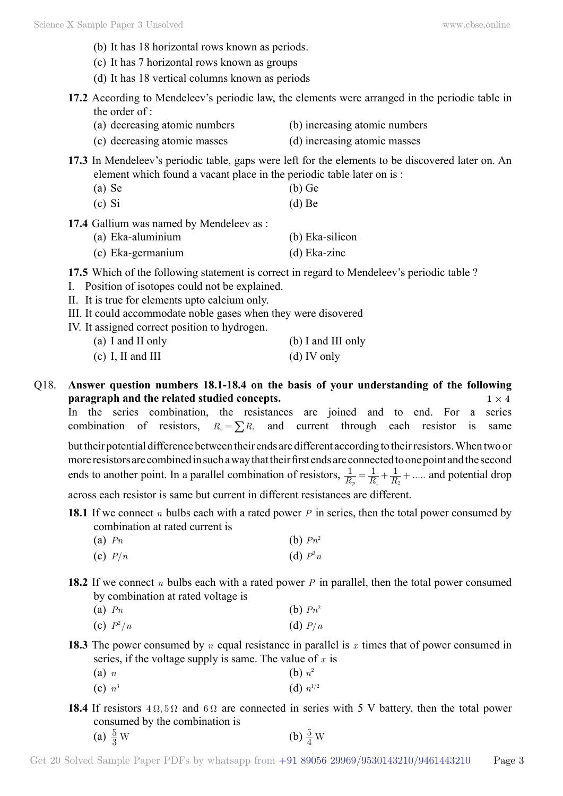- (b) It has 18 horizontal rows known as periods.
- (c) It has 7 horizontal rows known as groups
- (d) It has 18 vertical columns known as periods
- **17.2** According to Mendeleev's periodic law, the elements were arranged in the periodic table in the order of :
	- (a) decreasing atomic numbers (b) increasing atomic numbers
	- (c) decreasing atomic masses (d) increasing atomic masses
- **17.3** In Mendeleev's periodic table, gaps were left for the elements to be discovered later on. An element which found a vacant place in the periodic table later on is :
	- (a) Se (b) Ge
	- $\alpha$  (c) Si (d) Be
- 17.4 Gallium was named by Mendeleev as :
	- (a) Eka-aluminium (b) Eka-silicon
	- (c) Eka-germanium (d) Eka-zinc

**17.5** Which of the following statement is correct in regard to Mendeleev's periodic table ?

- I. Position of isotopes could not be explained.
- II. It is true for elements upto calcium only.
- III. It could accommodate noble gases when they were disovered
- IV. It assigned correct position to hydrogen.

| (a) I and II only | (b) I and III only |
|-------------------|--------------------|
| (c) I, II and III | $(d)$ IV only      |

Q18. **Answer question numbers 18.1-18.4 on the basis of your understanding of the following paragraph and the related studied concepts.**  $1 \times 4$ 

In the series combination, the resistances are joined and to end. For a series combination of resistors,  $R_s = \sum R_i$  and current through each resistor is same but their potential difference between their ends are different according to their resistors. When two or more resistors are combined in such a way that their first ends are connected to one point and the second

ends to another point. In a parallel combination of resistors,  $\frac{1}{R_p} = \frac{1}{R_1} + \frac{1}{R_2} + \dots$  $\frac{1}{p} = \frac{1}{R_1} + \frac{1}{R_2} + \dots$  and potential drop

across each resistor is same but current in different resistances are different.

- **18.1** If we connect *n* bulbs each with a rated power *P* in series, then the total power consumed by combination at rated current is
	- (a)  $P_n$  (b)  $P_n^2$ (c)  $P/n$  (d)  $P^2n$
- **18.2** If we connect *n* bulbs each with a rated power *P* in parallel, then the total power consumed by combination at rated voltage is
	- (a)  $P_n$  (b)  $P_n^2$
	- (c)  $P^2/n$  $(d)$   $P/n$
- **18.3** The power consumed by *n* equal resistance in parallel is *x* times that of power consumed in series, if the voltage supply is same. The value of *x* is
	- (a) *n* (b)  $n^2$ (c)  $n^3$  (d)  $n^{1/2}$
- **18.4** If resistors  $4\Omega$ ,  $5\Omega$  and  $6\Omega$  are connected in series with 5 V battery, then the total power consumed by the combination is
	- (a)  $\frac{5}{3}$  W  $\frac{5}{3}$  W (b)  $\frac{5}{4}$  W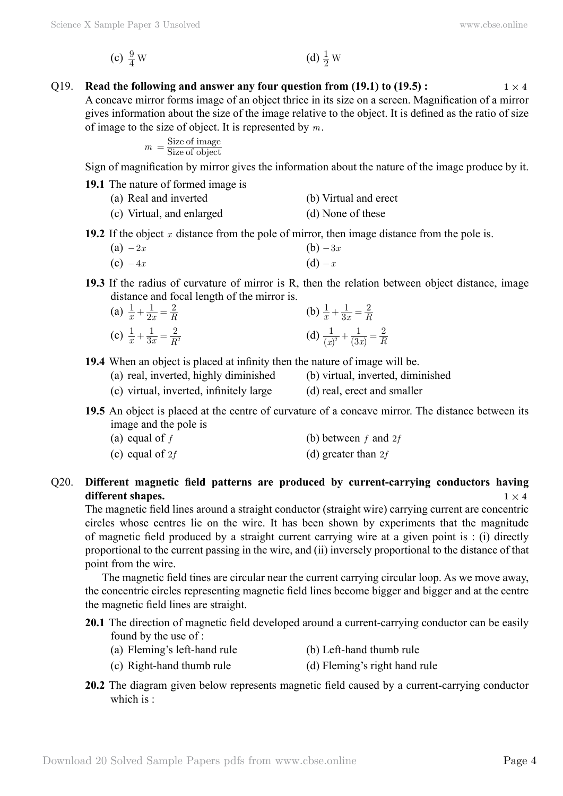(c) 
$$
\frac{9}{4}
$$
 W (d)  $\frac{1}{2}$  W

# Q19. **Read the following and answer any four question from (19.1) to (19.5):**  $1 \times 4$

A concave mirror forms image of an object thrice in its size on a screen. Magnification of a mirror gives information about the size of the image relative to the object. It is defined as the ratio of size of image to the size of object. It is represented by *m*.

$$
m = \frac{\text{Size of image}}{\text{Size of object}}
$$

Sign of magnification by mirror gives the information about the nature of the image produce by it.

**19.1** The nature of formed image is

| (a) Real and inverted | (b) Virtual and erect |
|-----------------------|-----------------------|
|                       |                       |
|                       |                       |
|                       |                       |
|                       |                       |
|                       |                       |
|                       |                       |
|                       |                       |
|                       |                       |
|                       |                       |
|                       |                       |

**19.2** If the object *x* distance from the pole of mirror, then image distance from the pole is.

$$
(a) -2x \qquad \qquad (b) -3x
$$

(c)  $-4x$  (d)  $-x$ 

**19.3** If the radius of curvature of mirror is R, then the relation between object distance, image distance and focal length of the mirror is.

(a) 
$$
\frac{1}{x} + \frac{1}{2x} = \frac{2}{R}
$$
  
\n(b)  $\frac{1}{x} + \frac{1}{3x} = \frac{2}{R}$   
\n(c)  $\frac{1}{x} + \frac{1}{3x} = \frac{2}{R^2}$   
\n(d)  $\frac{1}{(x)^2} + \frac{1}{(3x)} = \frac{2}{R}$ 

**19.4** When an object is placed at infinity then the nature of image will be.

(a) real, inverted, highly diminished (b) virtual, inverted, diminished

- (c) virtual, inverted, infinitely large (d) real, erect and smaller
- **19.5** An object is placed at the centre of curvature of a concave mirror. The distance between its image and the pole is

| (a) equal of $f$ | (b) between $f$ and $2f$ |
|------------------|--------------------------|
|                  |                          |

| (d) greater than $2f$<br>(c) equal of $2f$ |  |  |
|--------------------------------------------|--|--|
|--------------------------------------------|--|--|

## Q20. **Different magnetic field patterns are produced by current-carrying conductors having different shapes.**  $1 \times 4$

The magnetic field lines around a straight conductor (straight wire) carrying current are concentric circles whose centres lie on the wire. It has been shown by experiments that the magnitude of magnetic field produced by a straight current carrying wire at a given point is : (i) directly proportional to the current passing in the wire, and (ii) inversely proportional to the distance of that point from the wire.

The magnetic field tines are circular near the current carrying circular loop. As we move away, the concentric circles representing magnetic field lines become bigger and bigger and at the centre the magnetic field lines are straight.

**20.1** The direction of magnetic field developed around a current-carrying conductor can be easily found by the use of :

- (a) Fleming's left-hand rule (b) Left-hand thumb rule
- (c) Right-hand thumb rule (d) Fleming's right hand rule
- **20.2** The diagram given below represents magnetic field caused by a current-carrying conductor which is  $\cdot$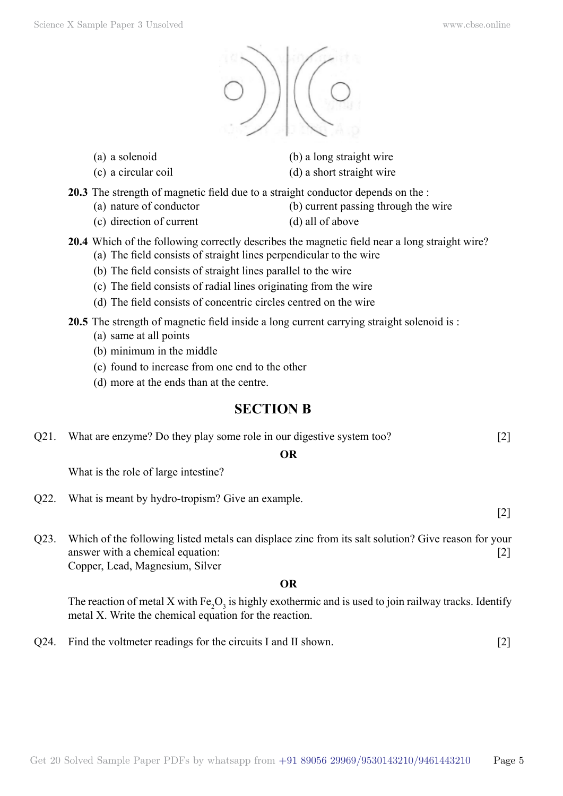

- 
- 
- (a) a solenoid (b) a long straight wire
- (c) a circular coil (d) a short straight wire
- **20.3** The strength of magnetic field due to a straight conductor depends on the :
	- (a) nature of conductor (b) current passing through the wire
	- (c) direction of current (d) all of above
- **20.4** Which of the following correctly describes the magnetic field near a long straight wire?
	- (a) The field consists of straight lines perpendicular to the wire
	- (b) The field consists of straight lines parallel to the wire
	- (c) The field consists of radial lines originating from the wire
	- (d) The field consists of concentric circles centred on the wire
- **20.5** The strength of magnetic field inside a long current carrying straight solenoid is :
	- (a) same at all points
	- (b) minimum in the middle
	- (c) found to increase from one end to the other
	- (d) more at the ends than at the centre.

# **Section B**

Q21. What are enzyme? Do they play some role in our digestive system too? [2]

## **O**

What is the role of large intestine?

Q22. What is meant by hydro-tropism? Give an example.

[2]

Q23. Which of the following listed metals can displace zinc from its salt solution? Give reason for your answer with a chemical equation: [2] Copper, Lead, Magnesium, Silver

## **O**

The reaction of metal X with  $Fe<sub>2</sub>O<sub>3</sub>$  is highly exothermic and is used to join railway tracks. Identify metal X. Write the chemical equation for the reaction.

Q24. Find the voltmeter readings for the circuits I and II shown. [2]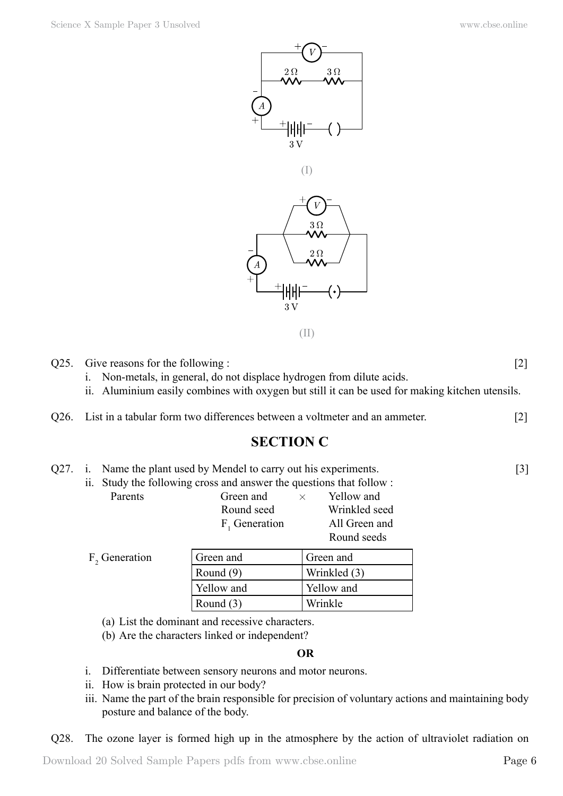

(II)

Q25. Give reasons for the following : [2]

i. Non-metals, in general, do not displace hydrogen from dilute acids.

- ii. Aluminium easily combines with oxygen but still it can be used for making kitchen utensils.
- Q26. List in a tabular form two differences between a voltmeter and an ammeter. [2]

# **Section C**

| Q27. i. Name the plant used by Mendel to carry out his experiments. |                                                                     | $\lceil 3 \rceil$ |
|---------------------------------------------------------------------|---------------------------------------------------------------------|-------------------|
|                                                                     | ii. Study the following cross and answer the questions that follow: |                   |

|                          | $\cdots$ because the roll of $\cdots$ in the case will be also the spectrum that rolle $\cdots$ . |                  |
|--------------------------|---------------------------------------------------------------------------------------------------|------------------|
| Parents                  | Green and                                                                                         | Yellow and<br>×. |
|                          | Round seed                                                                                        | Wrinkled seed    |
|                          | $F1$ Generation                                                                                   | All Green and    |
|                          |                                                                                                   | Round seeds      |
| $\Gamma$ $\cap$ $\cdots$ |                                                                                                   | $\cap$ 1         |

| F <sub>2</sub> Generation | Green and   | Green and    |
|---------------------------|-------------|--------------|
|                           | Round (9)   | Wrinkled (3) |
|                           | Yellow and  | Yellow and   |
|                           | Round $(3)$ | Wrinkle      |

(a) List the dominant and recessive characters.

(b) Are the characters linked or independent?

#### **O**

- i. Differentiate between sensory neurons and motor neurons.
- ii. How is brain protected in our body?
- iii. Name the part of the brain responsible for precision of voluntary actions and maintaining body posture and balance of the body.

Q28. The ozone layer is formed high up in the atmosphere by the action of ultraviolet radiation on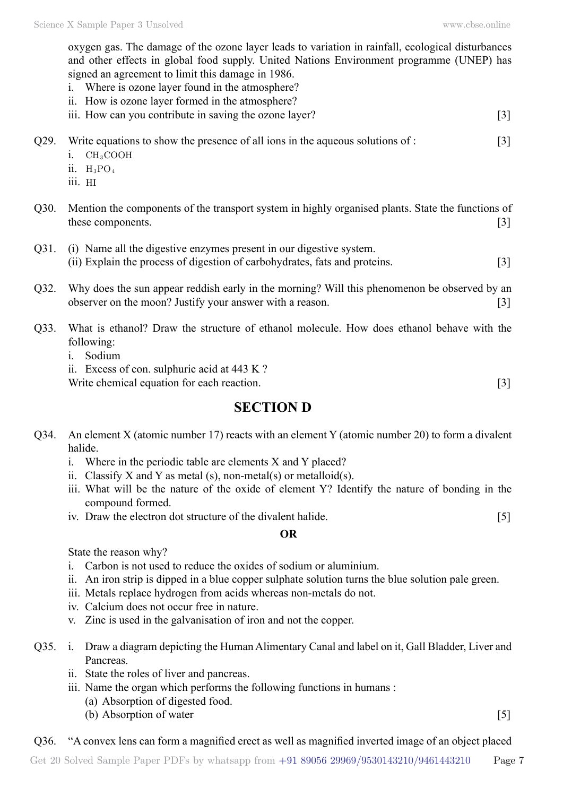oxygen gas. The damage of the ozone layer leads to variation in rainfall, ecological disturbances and other effects in global food supply. United Nations Environment programme (UNEP) has signed an agreement to limit this damage in 1986.

- i. Where is ozone layer found in the atmosphere?
- ii. How is ozone layer formed in the atmosphere?
- iii. How can you contribute in saving the ozone layer? [3]
- Q29. Write equations to show the presence of all ions in the aqueous solutions of : [3]
	- i. CH<sub>3</sub>COOH
	- $ii.$  H<sub>3</sub>PO<sub>4</sub>
	- iii. HI
- Q30. Mention the components of the transport system in highly organised plants. State the functions of these components. [3]
- Q31. (i) Name all the digestive enzymes present in our digestive system. (ii) Explain the process of digestion of carbohydrates, fats and proteins. [3]
- Q32. Why does the sun appear reddish early in the morning? Will this phenomenon be observed by an observer on the moon? Justify your answer with a reason. [3]
- Q33. What is ethanol? Draw the structure of ethanol molecule. How does ethanol behave with the following:
	- i. Sodium
	- ii. Excess of con. sulphuric acid at 443 K ?

Write chemical equation for each reaction. [3]

# **Section D**

- Q34. An element X (atomic number 17) reacts with an element Y (atomic number 20) to form a divalent halide.
	- i. Where in the periodic table are elements X and Y placed?
	- ii. Classify X and Y as metal (s), non-metal(s) or metalloid(s).
	- iii. What will be the nature of the oxide of element Y? Identify the nature of bonding in the compound formed.
	- iv. Draw the electron dot structure of the divalent halide. [5]

#### **O**

State the reason why?

- i. Carbon is not used to reduce the oxides of sodium or aluminium.
- ii. An iron strip is dipped in a blue copper sulphate solution turns the blue solution pale green.
- iii. Metals replace hydrogen from acids whereas non-metals do not.
- iv. Calcium does not occur free in nature.
- v. Zinc is used in the galvanisation of iron and not the copper.
- Q35. i. Draw a diagram depicting the Human Alimentary Canal and label on it, Gall Bladder, Liver and Pancreas.
	- ii. State the roles of liver and pancreas.
	- iii. Name the organ which performs the following functions in humans :
		- (a) Absorption of digested food.
		- (b) Absorption of water [5]

## Q36. "A convex lens can form a magnified erect as well as magnified inverted image of an object placed